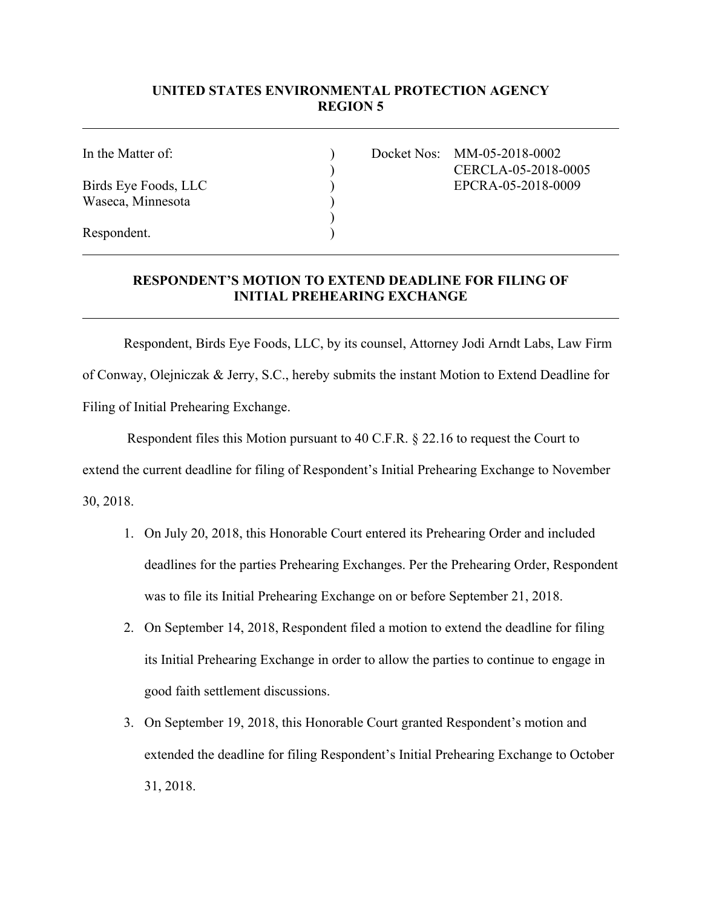### **UNITED STATES ENVIRONMENTAL PROTECTION AGENCY REGION 5**

l

l

 $\overline{a}$ 

Waseca, Minnesota (1988)  $)$ 

In the Matter of: ) Docket Nos: MM-05-2018-0002 ) CERCLA-05-2018-0005 Birds Eye Foods, LLC (a) The Second Second Seconds Seconds Seconds Seconds Seconds Seconds Seconds Seconds Seconds Seconds Seconds Seconds Seconds Seconds Seconds Seconds Seconds Seconds Seconds Seconds Seconds Seconds Sec

Respondent. )

# **RESPONDENT'S MOTION TO EXTEND DEADLINE FOR FILING OF INITIAL PREHEARING EXCHANGE**

Respondent, Birds Eye Foods, LLC, by its counsel, Attorney Jodi Arndt Labs, Law Firm of Conway, Olejniczak & Jerry, S.C., hereby submits the instant Motion to Extend Deadline for Filing of Initial Prehearing Exchange.

 Respondent files this Motion pursuant to 40 C.F.R. § 22.16 to request the Court to extend the current deadline for filing of Respondent's Initial Prehearing Exchange to November 30, 2018.

- 1. On July 20, 2018, this Honorable Court entered its Prehearing Order and included deadlines for the parties Prehearing Exchanges. Per the Prehearing Order, Respondent was to file its Initial Prehearing Exchange on or before September 21, 2018.
- 2. On September 14, 2018, Respondent filed a motion to extend the deadline for filing its Initial Prehearing Exchange in order to allow the parties to continue to engage in good faith settlement discussions.
- 3. On September 19, 2018, this Honorable Court granted Respondent's motion and extended the deadline for filing Respondent's Initial Prehearing Exchange to October 31, 2018.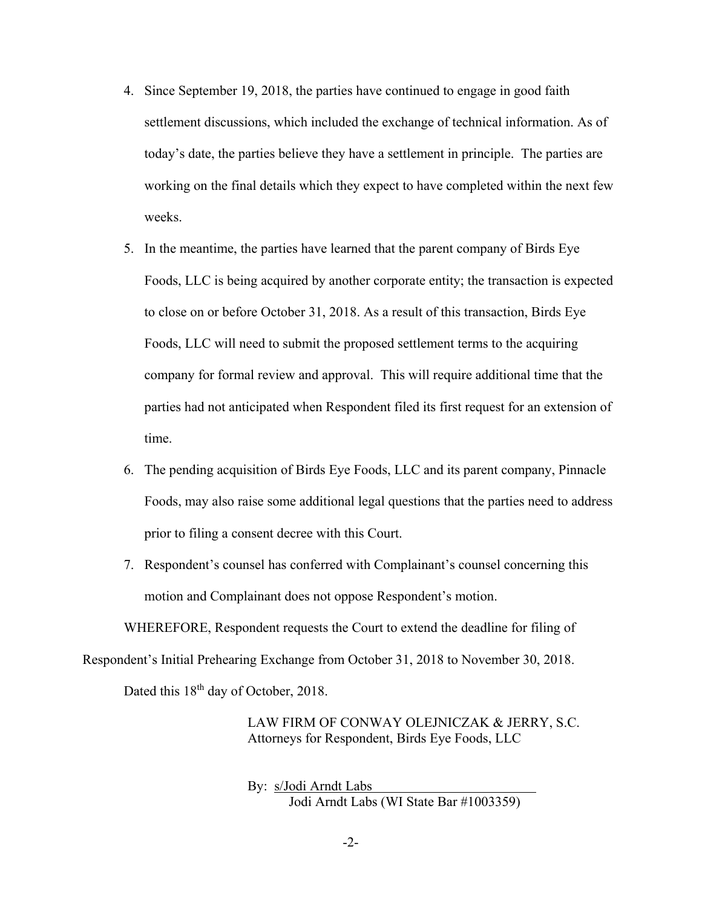- 4. Since September 19, 2018, the parties have continued to engage in good faith settlement discussions, which included the exchange of technical information. As of today's date, the parties believe they have a settlement in principle. The parties are working on the final details which they expect to have completed within the next few weeks.
- 5. In the meantime, the parties have learned that the parent company of Birds Eye Foods, LLC is being acquired by another corporate entity; the transaction is expected to close on or before October 31, 2018. As a result of this transaction, Birds Eye Foods, LLC will need to submit the proposed settlement terms to the acquiring company for formal review and approval. This will require additional time that the parties had not anticipated when Respondent filed its first request for an extension of time.
- 6. The pending acquisition of Birds Eye Foods, LLC and its parent company, Pinnacle Foods, may also raise some additional legal questions that the parties need to address prior to filing a consent decree with this Court.
- 7. Respondent's counsel has conferred with Complainant's counsel concerning this motion and Complainant does not oppose Respondent's motion.

WHEREFORE, Respondent requests the Court to extend the deadline for filing of

Respondent's Initial Prehearing Exchange from October 31, 2018 to November 30, 2018.

Dated this 18<sup>th</sup> day of October, 2018.

 LAW FIRM OF CONWAY OLEJNICZAK & JERRY, S.C. Attorneys for Respondent, Birds Eye Foods, LLC

 By: s/Jodi Arndt Labs Jodi Arndt Labs (WI State Bar #1003359)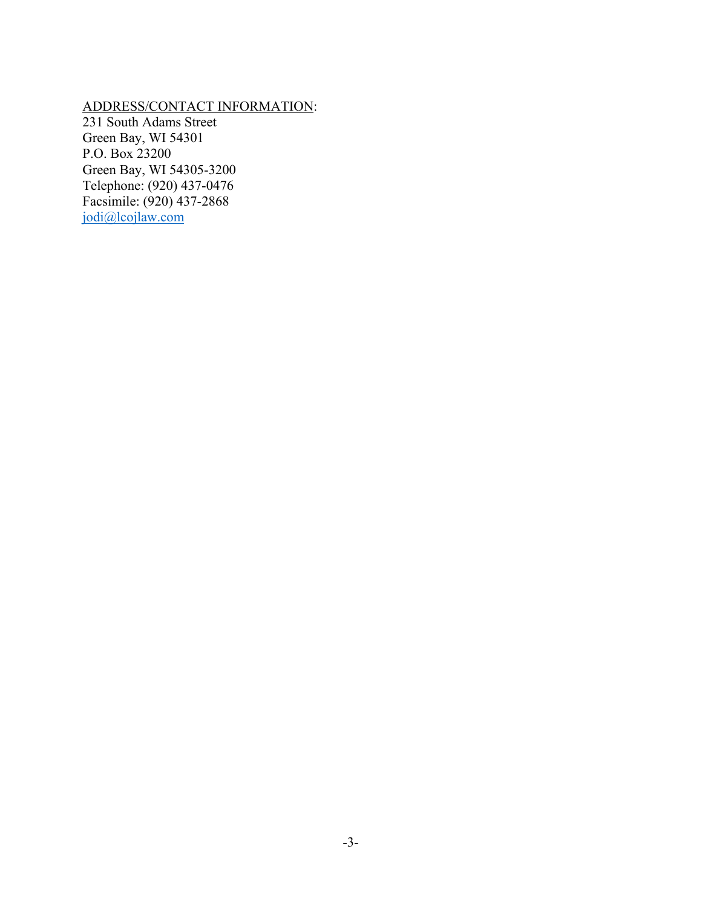# ADDRESS/CONTACT INFORMATION:

231 South Adams Street Green Bay, WI 54301 P.O. Box 23200 Green Bay, WI 54305-3200 Telephone: (920) 437-0476 Facsimile: (920) 437-2868 jodi@lcojlaw.com